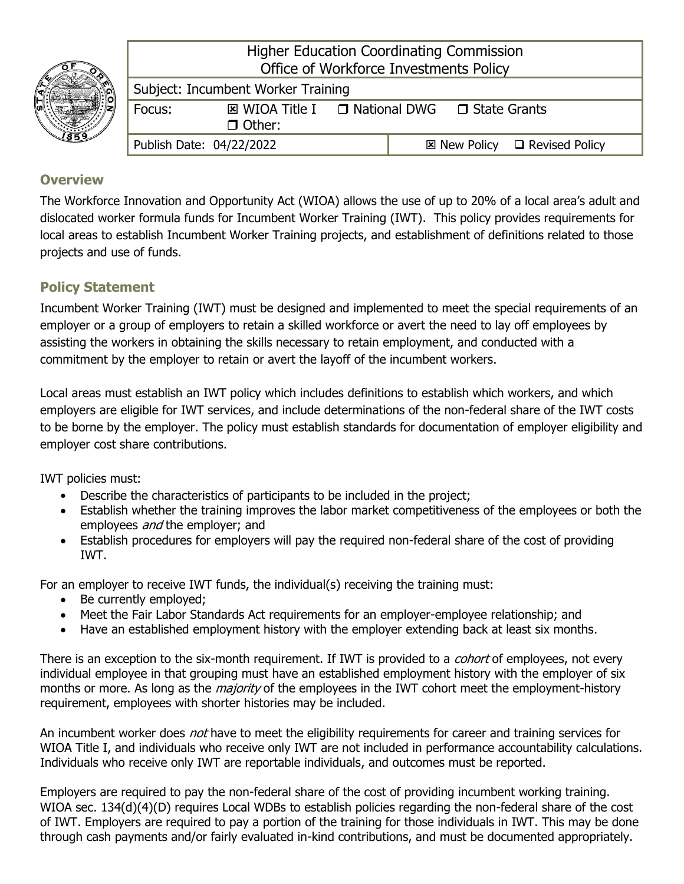

Higher Education Coordinating Commission Office of Workforce Investments Policy

| Subject: Incumbent Worker Training |                                                                  |  |  |  |                                              |  |
|------------------------------------|------------------------------------------------------------------|--|--|--|----------------------------------------------|--|
| <b>Focus:</b>                      | $\boxtimes$ WIOA Title I $\Box$ National DWG $\Box$ State Grants |  |  |  |                                              |  |
|                                    | $\Box$ Other:                                                    |  |  |  |                                              |  |
| Publish Date: 04/22/2022           |                                                                  |  |  |  | $\boxtimes$ New Policy $\Box$ Revised Policy |  |

## **Overview**

The Workforce Innovation and Opportunity Act (WIOA) allows the use of up to 20% of a local area's adult and dislocated worker formula funds for Incumbent Worker Training (IWT). This policy provides requirements for local areas to establish Incumbent Worker Training projects, and establishment of definitions related to those projects and use of funds.

# **Policy Statement**

Incumbent Worker Training (IWT) must be designed and implemented to meet the special requirements of an employer or a group of employers to retain a skilled workforce or avert the need to lay off employees by assisting the workers in obtaining the skills necessary to retain employment, and conducted with a commitment by the employer to retain or avert the layoff of the incumbent workers.

Local areas must establish an IWT policy which includes definitions to establish which workers, and which employers are eligible for IWT services, and include determinations of the non-federal share of the IWT costs to be borne by the employer. The policy must establish standards for documentation of employer eligibility and employer cost share contributions.

IWT policies must:

- Describe the characteristics of participants to be included in the project;
- Establish whether the training improves the labor market competitiveness of the employees or both the employees *and* the employer; and
- Establish procedures for employers will pay the required non-federal share of the cost of providing IWT.

For an employer to receive IWT funds, the individual(s) receiving the training must:

- Be currently employed;
- Meet the Fair Labor Standards Act requirements for an employer-employee relationship; and
- Have an established employment history with the employer extending back at least six months.

There is an exception to the six-month requirement. If IWT is provided to a *cohort* of employees, not every individual employee in that grouping must have an established employment history with the employer of six months or more. As long as the *majority* of the employees in the IWT cohort meet the employment-history requirement, employees with shorter histories may be included.

An incumbent worker does *not* have to meet the eligibility requirements for career and training services for WIOA Title I, and individuals who receive only IWT are not included in performance accountability calculations. Individuals who receive only IWT are reportable individuals, and outcomes must be reported.

Employers are required to pay the non-federal share of the cost of providing incumbent working training. WIOA sec. 134(d)(4)(D) requires Local WDBs to establish policies regarding the non-federal share of the cost of IWT. Employers are required to pay a portion of the training for those individuals in IWT. This may be done through cash payments and/or fairly evaluated in-kind contributions, and must be documented appropriately.